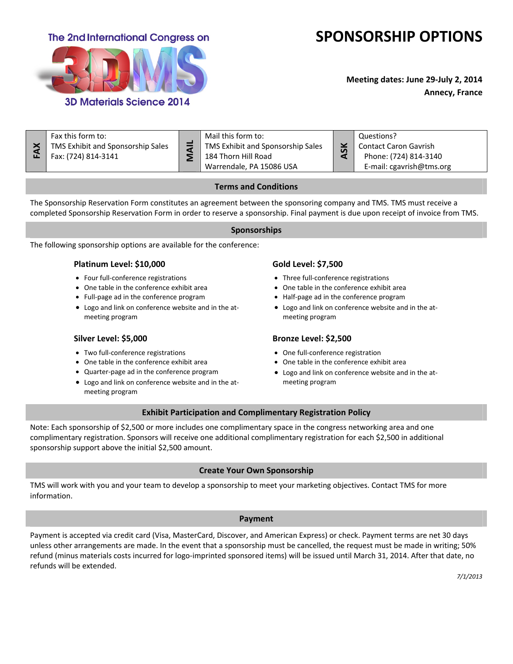# **The 2nd International Congress on**



# **SPONSORSHIP OPTIONS**

## **Meeting dates: June 29-July 2, 2014 Annecy, France**

**FAX** Fax this form to: TMS Exhibit and Sponsorship Sales Fax: (724) 814-3141 **MAIL** Mail this form to: TMS Exhibit and Sponsorship Sales 184 Thorn Hill Road Warrendale, PA 15086 USA **ASK** Questions? Contact Caron Gavrish Phone: (724) 814-3140 E-mail: cgavrish@tms.org

### **Terms and Conditions**

The Sponsorship Reservation Form constitutes an agreement between the sponsoring company and TMS. TMS must receive a completed Sponsorship Reservation Form in order to reserve a sponsorship. Final payment is due upon receipt of invoice from TMS.

#### **Sponsorships**

The following sponsorship options are available for the conference:

#### **Platinum Level: \$10,000**

- Four full-conference registrations
- One table in the conference exhibit area
- Full-page ad in the conference program
- Logo and link on conference website and in the atmeeting program

#### **Silver Level: \$5,000**

- Two full-conference registrations
- One table in the conference exhibit area
- Quarter-page ad in the conference program
- Logo and link on conference website and in the atmeeting program

#### **Gold Level: \$7,500**

- Three full-conference registrations
- One table in the conference exhibit area
- Half-page ad in the conference program
- Logo and link on conference website and in the atmeeting program

#### **Bronze Level: \$2,500**

- One full-conference registration
- One table in the conference exhibit area
- Logo and link on conference website and in the atmeeting program

#### **Exhibit Participation and Complimentary Registration Policy**

Note: Each sponsorship of \$2,500 or more includes one complimentary space in the congress networking area and one complimentary registration. Sponsors will receive one additional complimentary registration for each \$2,500 in additional sponsorship support above the initial \$2,500 amount.

#### **Create Your Own Sponsorship**

TMS will work with you and your team to develop a sponsorship to meet your marketing objectives. Contact TMS for more information.

#### **Payment**

Payment is accepted via credit card (Visa, MasterCard, Discover, and American Express) or check. Payment terms are net 30 days unless other arrangements are made. In the event that a sponsorship must be cancelled, the request must be made in writing; 50% refund (minus materials costs incurred for logo-imprinted sponsored items) will be issued until March 31, 2014. After that date, no refunds will be extended.